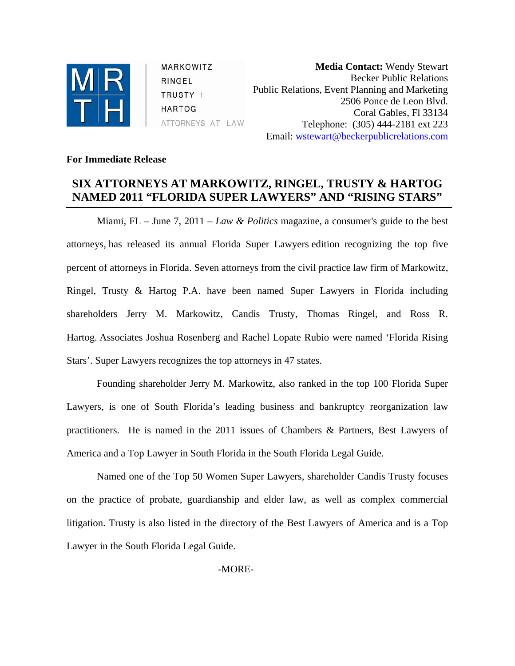

MARKOWITZ RINGEL  $TRUSTY +$ HARTOG ATTORNEYS AT LAW

**Media Contact:** Wendy Stewart Becker Public Relations Public Relations, Event Planning and Marketing 2506 Ponce de Leon Blvd. Coral Gables, Fl 33134 Telephone: (305) 444-2181 ext 223 Email: [wstewart@beckerpublicrelations.com](mailto:wstewart@beckerpublicrelations.com)

## **For Immediate Release**

## **SIX ATTORNEYS AT MARKOWITZ, RINGEL, TRUSTY & HARTOG NAMED 2011 "FLORIDA SUPER LAWYERS" AND "RISING STARS"**

Miami, FL – June 7, 2011 – *Law & Politics* magazine, a consumer's guide to the best attorneys, has released its annual Florida Super Lawyers edition recognizing the top five percent of attorneys in Florida. Seven attorneys from the civil practice law firm of Markowitz, Ringel, Trusty & Hartog P.A. have been named Super Lawyers in Florida including shareholders Jerry M. Markowitz, Candis Trusty, Thomas Ringel, and Ross R. Hartog. Associates Joshua Rosenberg and Rachel Lopate Rubio were named 'Florida Rising Stars'. Super Lawyers recognizes the top attorneys in 47 states.

Founding shareholder Jerry M. Markowitz, also ranked in the top 100 Florida Super Lawyers, is one of South Florida's leading business and bankruptcy reorganization law practitioners. He is named in the 2011 issues of Chambers & Partners, Best Lawyers of America and a Top Lawyer in South Florida in the South Florida Legal Guide.

Named one of the Top 50 Women Super Lawyers, shareholder Candis Trusty focuses on the practice of probate, guardianship and elder law, as well as complex commercial litigation. Trusty is also listed in the directory of the Best Lawyers of America and is a Top Lawyer in the South Florida Legal Guide.

-MORE-